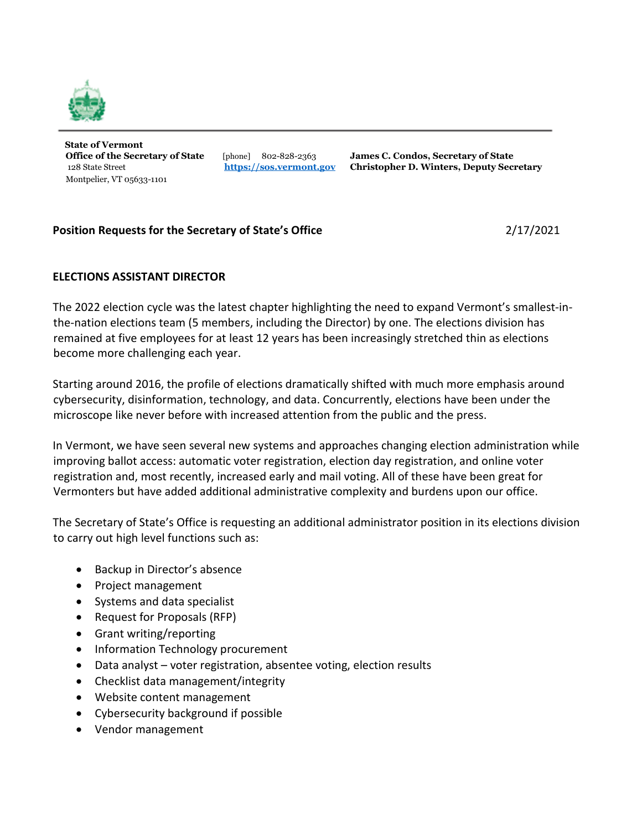

**State of Vermont**  Montpelier, VT 05633-1101

**Office of the Secretary of State** [phone] 802-828-2363 **James C. Condos, Secretary of State**  128 State Street **[https://sos.vermont.gov](https://sos.vermont.gov/) Christopher D. Winters, Deputy Secretary**

## **Position Requests for the Secretary of State's Office** 2/17/2021

## **ELECTIONS ASSISTANT DIRECTOR**

The 2022 election cycle was the latest chapter highlighting the need to expand Vermont's smallest-inthe-nation elections team (5 members, including the Director) by one. The elections division has remained at five employees for at least 12 years has been increasingly stretched thin as elections become more challenging each year.

Starting around 2016, the profile of elections dramatically shifted with much more emphasis around cybersecurity, disinformation, technology, and data. Concurrently, elections have been under the microscope like never before with increased attention from the public and the press.

In Vermont, we have seen several new systems and approaches changing election administration while improving ballot access: automatic voter registration, election day registration, and online voter registration and, most recently, increased early and mail voting. All of these have been great for Vermonters but have added additional administrative complexity and burdens upon our office.

The Secretary of State's Office is requesting an additional administrator position in its elections division to carry out high level functions such as:

- Backup in Director's absence
- Project management
- Systems and data specialist
- Request for Proposals (RFP)
- Grant writing/reporting
- Information Technology procurement
- Data analyst voter registration, absentee voting, election results
- Checklist data management/integrity
- Website content management
- Cybersecurity background if possible
- Vendor management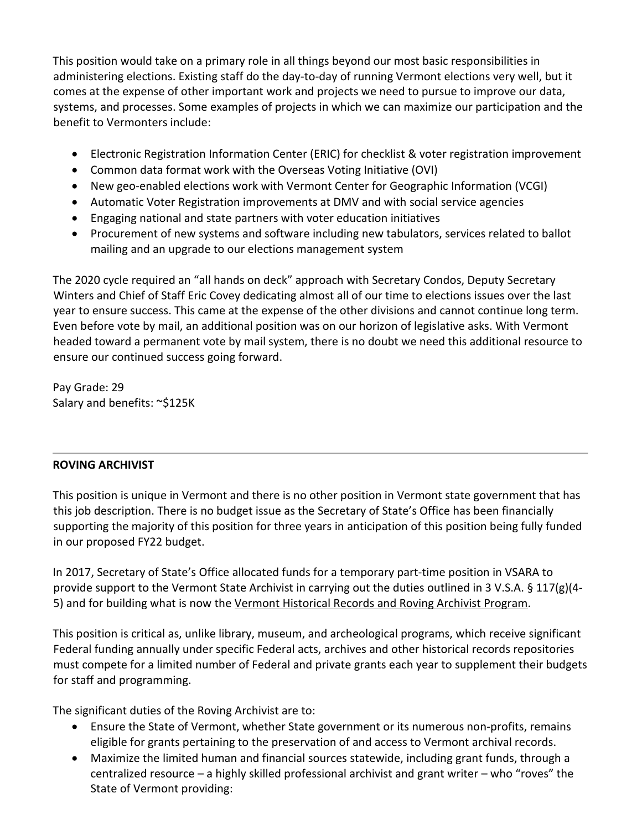This position would take on a primary role in all things beyond our most basic responsibilities in administering elections. Existing staff do the day-to-day of running Vermont elections very well, but it comes at the expense of other important work and projects we need to pursue to improve our data, systems, and processes. Some examples of projects in which we can maximize our participation and the benefit to Vermonters include:

- Electronic Registration Information Center (ERIC) for checklist & voter registration improvement
- Common data format work with the Overseas Voting Initiative (OVI)
- New geo-enabled elections work with Vermont Center for Geographic Information (VCGI)
- Automatic Voter Registration improvements at DMV and with social service agencies
- Engaging national and state partners with voter education initiatives
- Procurement of new systems and software including new tabulators, services related to ballot mailing and an upgrade to our elections management system

The 2020 cycle required an "all hands on deck" approach with Secretary Condos, Deputy Secretary Winters and Chief of Staff Eric Covey dedicating almost all of our time to elections issues over the last year to ensure success. This came at the expense of the other divisions and cannot continue long term. Even before vote by mail, an additional position was on our horizon of legislative asks. With Vermont headed toward a permanent vote by mail system, there is no doubt we need this additional resource to ensure our continued success going forward.

Pay Grade: 29 Salary and benefits: ~\$125K

## **ROVING ARCHIVIST**

This position is unique in Vermont and there is no other position in Vermont state government that has this job description. There is no budget issue as the Secretary of State's Office has been financially supporting the majority of this position for three years in anticipation of this position being fully funded in our proposed FY22 budget.

In 2017, Secretary of State's Office allocated funds for a temporary part-time position in VSARA to provide support to the Vermont State Archivist in carrying out the duties outlined in 3 V.S.A. § 117(g)(4- 5) and for building what is now the Vermont Historical Records and Roving Archivist Program.

This position is critical as, unlike library, museum, and archeological programs, which receive significant Federal funding annually under specific Federal acts, archives and other historical records repositories must compete for a limited number of Federal and private grants each year to supplement their budgets for staff and programming.

The significant duties of the Roving Archivist are to:

- Ensure the State of Vermont, whether State government or its numerous non-profits, remains eligible for grants pertaining to the preservation of and access to Vermont archival records.
- Maximize the limited human and financial sources statewide, including grant funds, through a centralized resource – a highly skilled professional archivist and grant writer – who "roves" the State of Vermont providing: